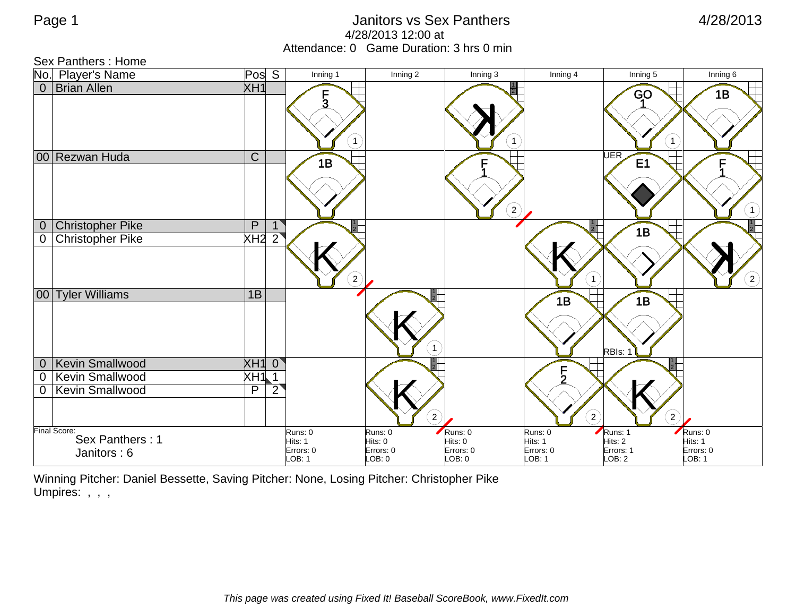## Page 1 animal contract of the United States of Sex Panthers and Alman and Alman 4/28/2013 4/28/2013 12:00 at Attendance: 0 Game Duration: 3 hrs 0 min

Sex Panthers : Home

|                | No. Player's Name                      | Pos S           |              | Inning 1                      | Inning 2             | Inning 3                     | Inning 4             | Inning 5           | Inning 6               |
|----------------|----------------------------------------|-----------------|--------------|-------------------------------|----------------------|------------------------------|----------------------|--------------------|------------------------|
| $\overline{0}$ | <b>Brian Allen</b>                     | XH1             |              | $\frac{1}{3}$<br>$\mathbf{1}$ |                      |                              |                      | GO<br>$\mathbf{1}$ | 1B                     |
|                | 00 Rezwan Huda                         | $\mathsf{C}$    |              | 1B                            |                      | $\boxed{2}$                  |                      | <b>UER</b><br>E1   | F<br>$\left( 1\right)$ |
| $\overline{0}$ | <b>Christopher Pike</b>                | $\mathsf{P}$    | $\mathbf{1}$ |                               |                      |                              |                      | 1B                 | 1<br>$\overline{2}$    |
| 0              | <b>Christopher Pike</b>                | XH2 2           |              | $\left( 2\right)$             |                      |                              | 1                    |                    | $\left( 2\right)$      |
|                | 00 Tyler Williams                      | $\overline{1B}$ |              |                               |                      | $\mathbf{1}$                 | 1B                   | 1B<br>RBIs: 1      |                        |
| $\overline{0}$ | <b>Kevin Smallwood</b>                 | $XH1$ 0         |              |                               |                      |                              |                      |                    |                        |
| $\mathbf 0$    | Kevin Smallwood                        | XH111           |              |                               |                      |                              | ົ                    |                    |                        |
| 0              | Kevin Smallwood                        | P               | $2^{i}$      |                               |                      | $\left( \frac{2}{2} \right)$ | $\left( 2\right)$    | $\left( 2\right)$  |                        |
|                | <b>Final Score:</b><br>Sex Panthers: 1 |                 |              | Runs: 0                       | Runs: 0              | Runs: 0                      | Runs: 0              | Runs: 1<br>Hits: 2 | Runs: 0                |
|                | Janitors: 6                            |                 |              | Hits: 1<br>Errors: 0          | Hits: 0<br>Errors: 0 | Hits: 0<br>Errors: 0         | Hits: 1<br>Errors: 0 | Errors: 1          | Hits: 1<br>Errors: 0   |
|                |                                        |                 |              | $-OB: 1$                      | LOB: 0               | LOB: 0                       | LOB: 1               | LOB: 2             | LOB: 1                 |

Winning Pitcher: Daniel Bessette, Saving Pitcher: None, Losing Pitcher: Christopher Pike Umpires: , , ,